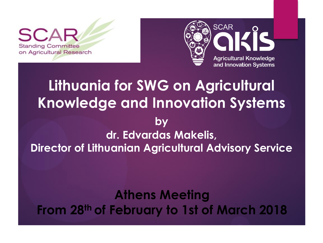**Standing Committee** on Agricultural Research



# **Lithuania for SWG on Agricultural Knowledge and Innovation Systems**

### **by dr. Edvardas Makelis, Director of Lithuanian Agricultural Advisory Service**

### **Athens Meeting From 28th of February to 1st of March 2018**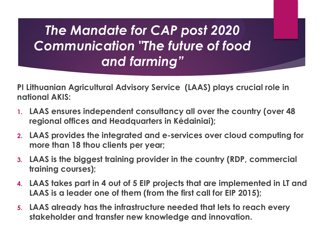# *The Mandate for CAP post 2020 Communication "The future of food and farming"*

**PI Lithuanian Agricultural Advisory Service (LAAS) plays crucial role in national AKIS:**

- **1. LAAS ensures independent consultancy all over the country (over 48 regional offices and Headquarters in Kėdainiai);**
- **2. LAAS provides the integrated and e-services over cloud computing for more than 18 thou clients per year;**
- **3. LAAS is the biggest training provider in the country (RDP, commercial training courses);**
- **4. LAAS takes part in 4 out of 5 EIP projects that are implemented in LT and LAAS is a leader one of them (from the first call for EIP 2015);**
- **5. LAAS already has the infrastructure needed that lets to reach every stakeholder and transfer new knowledge and innovation.**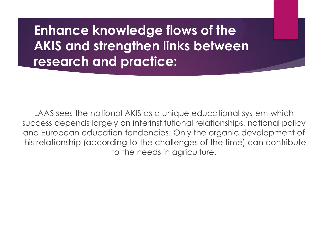**Enhance knowledge flows of the AKIS and strengthen links between research and practice:**

LAAS sees the national AKIS as a unique educational system which success depends largely on interinstitutional relationships, national policy and European education tendencies. Only the organic development of this relationship (according to the challenges of the time) can contribute to the needs in agriculture.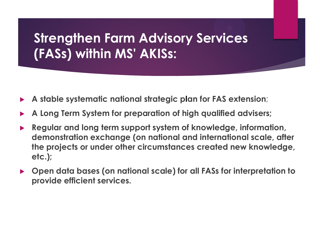## **Strengthen Farm Advisory Services (FASs) within MS' AKISs:**

- ▶ **A stable systematic national strategic plan for FAS extension**;
- ▶ **A Long Term System for preparation of high qualified advisers;**
- ▶ **Regular and long term support system of knowledge, information, demonstration exchange (on national and international scale, after the projects or under other circumstances created new knowledge, etc.);**
- ▶ **Open data bases (on national scale) for all FASs for interpretation to provide efficient services.**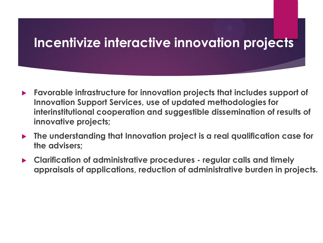### **Incentivize interactive innovation projects**

- ▶ **Favorable infrastructure for innovation projects that includes support of Innovation Support Services, use of updated methodologies for interinstitutional cooperation and suggestible dissemination of results of innovative projects;**
- ▶ **The understanding that Innovation project is a real qualification case for the advisers;**
- ▶ **Clarification of administrative procedures - regular calls and timely appraisals of applications, reduction of administrative burden in projects.**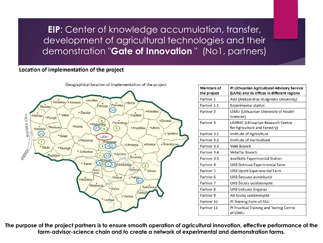**EIP**: Center of knowledge accumulation, transfer, development of agricultural technologies and their demonstration "**Gate of Innovation** " (No1, partners)

### Location of implementation of the project



| <b>Members of</b><br>the project | PI Lithuanian Agricultural Advisory Service<br>(LAAS) and its offices in different regions |
|----------------------------------|--------------------------------------------------------------------------------------------|
| Partner 1                        | ASU (Aleksandras Stulginskis University)                                                   |
| Partner 1.1                      | <b>Experimental station</b>                                                                |
| Partner <sub>2</sub>             | LSMU (Lithuanian University of Health<br>Sciences)                                         |
| Partner <sub>3</sub>             | LAMMC (Lithuanian Research Centre<br>for Agriculture and Forestry)                         |
| Partner 3.1                      | Institute of Agriculture                                                                   |
| Partner 3.2                      | Institute of Horticulture                                                                  |
| Partner 3.3                      | Vokė Branch                                                                                |
| Partner 3.4                      | Vėžaičiai Branch                                                                           |
| Partner 3.5                      | Joniškėlis Experimental Station                                                            |
| Partner <sub>4</sub>             | UAB Dotnuva Experimental Farm                                                              |
| Partner 5                        | UAB Upytė Experimental Farm                                                                |
| Partner <sub>6</sub>             | UAB Šeduvos avininkystė                                                                    |
| Partner 7                        | UAB Šilutės veislininkystė                                                                 |
| Partner 8                        | UAB Lietuvos žirgynas                                                                      |
| Partner 9                        | AB Kaulių veislininkystė                                                                   |
| Partner 10                       | PI Training Farm of ASU                                                                    |
| Partner 11                       | PI Practical Training and Testing Centre<br>of LSMU                                        |

**The purpose of the project partners is to ensure smooth operation of agricultural innovation, effective performance of the farm-advisor-science chain and to create a network of experimental and demonstration farms.**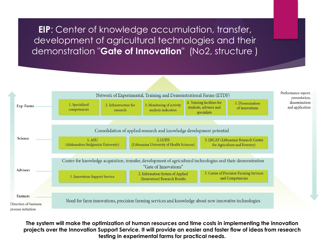**EIP**: Center of knowledge accumulation, transfer, development of agricultural technologies and their demonstration "**Gate of Innovation**" (No2, structure )



**The system will make the optimization of human resources and time costs in implementing the innovation projects over the Innovation Support Service. It will provide an easier and faster flow of ideas from research testing in experimental farms for practical needs.**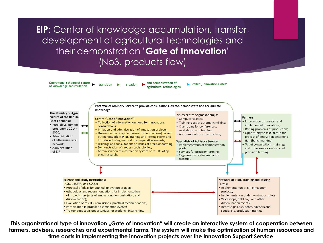**EIP**: Center of knowledge accumulation, transfer, development of agricultural technologies and their demonstration "**Gate of Innovation**" (No3, products flow)



This organizational type of innovation "Gate of Innovation" will create an interactive system of cooperation between **farmers, advisers, researches and experimental farms. The system will make the optimization of human resources and time costs in implementing the innovation projects over the Innovation Support Service.**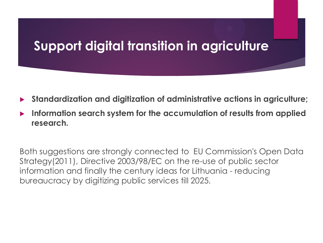### **Support digital transition in agriculture**

- ▶ **Standardization and digitization of administrative actions in agriculture;**
- ▶ **Information search system for the accumulation of results from applied research.**

Both suggestions are strongly connected to EU Commission's Open Data Strategy(2011), Directive 2003/98/EC on the re-use of public sector information and finally the century ideas for Lithuania - reducing bureaucracy by digitizing public services till 2025.